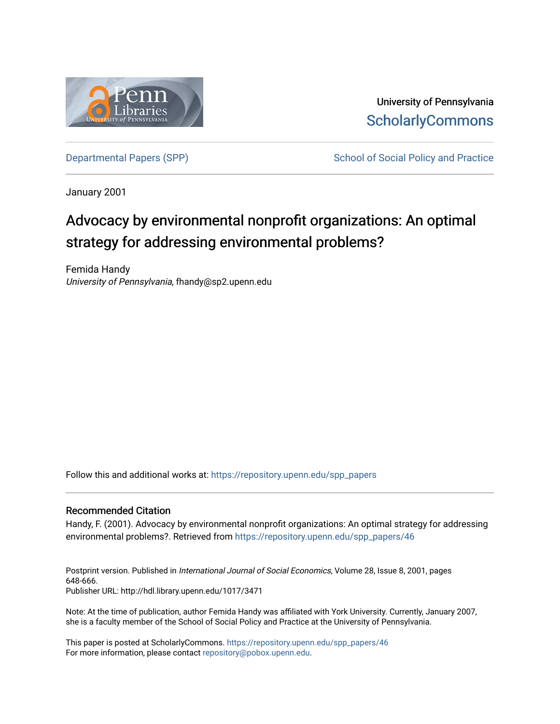

University of Pennsylvania **ScholarlyCommons** 

[Departmental Papers \(SPP\)](https://repository.upenn.edu/spp_papers) School of Social Policy and Practice

January 2001

# Advocacy by environmental nonprofit organizations: An optimal strategy for addressing environmental problems?

Femida Handy University of Pennsylvania, fhandy@sp2.upenn.edu

Follow this and additional works at: [https://repository.upenn.edu/spp\\_papers](https://repository.upenn.edu/spp_papers?utm_source=repository.upenn.edu%2Fspp_papers%2F46&utm_medium=PDF&utm_campaign=PDFCoverPages) 

#### Recommended Citation

Handy, F. (2001). Advocacy by environmental nonprofit organizations: An optimal strategy for addressing environmental problems?. Retrieved from [https://repository.upenn.edu/spp\\_papers/46](https://repository.upenn.edu/spp_papers/46?utm_source=repository.upenn.edu%2Fspp_papers%2F46&utm_medium=PDF&utm_campaign=PDFCoverPages) 

Postprint version. Published in International Journal of Social Economics, Volume 28, Issue 8, 2001, pages 648-666. Publisher URL: http://hdl.library.upenn.edu/1017/3471

Note: At the time of publication, author Femida Handy was affiliated with York University. Currently, January 2007, she is a faculty member of the School of Social Policy and Practice at the University of Pennsylvania.

This paper is posted at ScholarlyCommons. [https://repository.upenn.edu/spp\\_papers/46](https://repository.upenn.edu/spp_papers/46)  For more information, please contact [repository@pobox.upenn.edu.](mailto:repository@pobox.upenn.edu)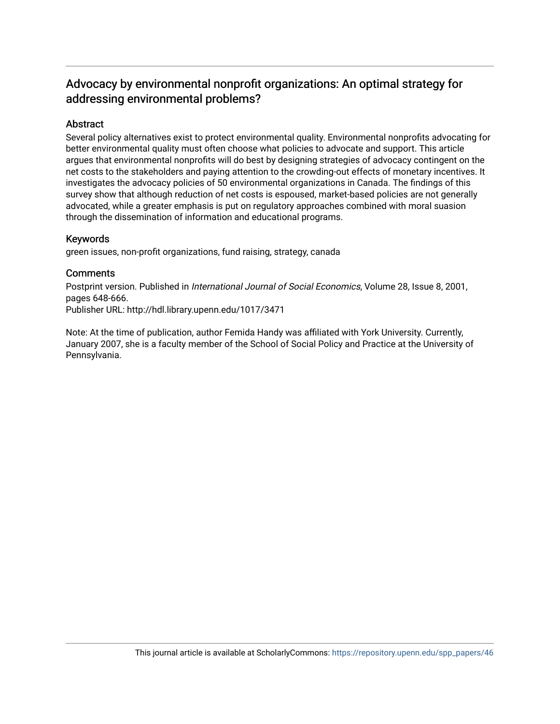# Advocacy by environmental nonprofit organizations: An optimal strategy for addressing environmental problems?

#### Abstract

Several policy alternatives exist to protect environmental quality. Environmental nonprofits advocating for better environmental quality must often choose what policies to advocate and support. This article argues that environmental nonprofits will do best by designing strategies of advocacy contingent on the net costs to the stakeholders and paying attention to the crowding-out effects of monetary incentives. It investigates the advocacy policies of 50 environmental organizations in Canada. The findings of this survey show that although reduction of net costs is espoused, market-based policies are not generally advocated, while a greater emphasis is put on regulatory approaches combined with moral suasion through the dissemination of information and educational programs.

#### Keywords

green issues, non-profit organizations, fund raising, strategy, canada

#### **Comments**

Postprint version. Published in International Journal of Social Economics, Volume 28, Issue 8, 2001, pages 648-666. Publisher URL: http://hdl.library.upenn.edu/1017/3471

Note: At the time of publication, author Femida Handy was affiliated with York University. Currently,

January 2007, she is a faculty member of the School of Social Policy and Practice at the University of Pennsylvania.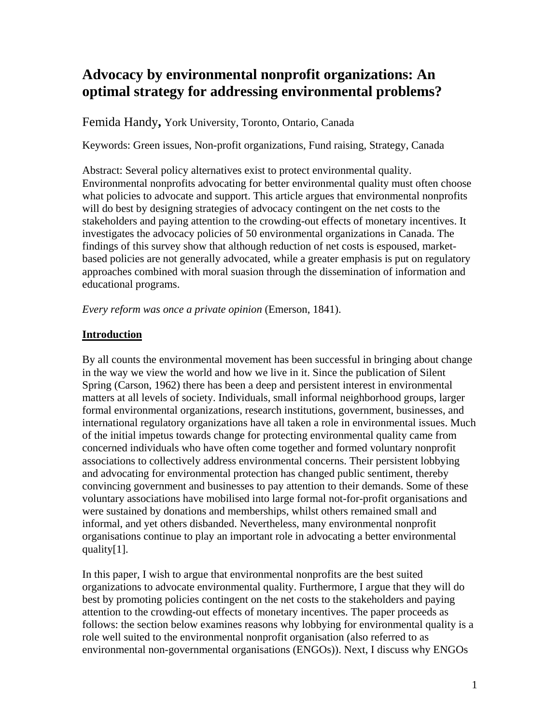# **Advocacy by environmental nonprofit organizations: An optimal strategy for addressing environmental problems?**

Femida Handy**,** York University, Toronto, Ontario, Canada

Keywords: Green issues, Non-profit organizations, Fund raising, Strategy, Canada

Abstract: Several policy alternatives exist to protect environmental quality. Environmental nonprofits advocating for better environmental quality must often choose what policies to advocate and support. This article argues that environmental nonprofits will do best by designing strategies of advocacy contingent on the net costs to the stakeholders and paying attention to the crowding-out effects of monetary incentives. It investigates the advocacy policies of 50 environmental organizations in Canada. The findings of this survey show that although reduction of net costs is espoused, marketbased policies are not generally advocated, while a greater emphasis is put on regulatory approaches combined with moral suasion through the dissemination of information and educational programs.

*Every reform was once a private opinion* (Emerson, 1841).

# **Introduction**

By all counts the environmental movement has been successful in bringing about change in the way we view the world and how we live in it. Since the publication of Silent Spring (Carson, 1962) there has been a deep and persistent interest in environmental matters at all levels of society. Individuals, small informal neighborhood groups, larger formal environmental organizations, research institutions, government, businesses, and international regulatory organizations have all taken a role in environmental issues. Much of the initial impetus towards change for protecting environmental quality came from concerned individuals who have often come together and formed voluntary nonprofit associations to collectively address environmental concerns. Their persistent lobbying and advocating for environmental protection has changed public sentiment, thereby convincing government and businesses to pay attention to their demands. Some of these voluntary associations have mobilised into large formal not-for-profit organisations and were sustained by donations and memberships, whilst others remained small and informal, and yet others disbanded. Nevertheless, many environmental nonprofit organisations continue to play an important role in advocating a better environmental quality[1].

In this paper, I wish to argue that environmental nonprofits are the best suited organizations to advocate environmental quality. Furthermore, I argue that they will do best by promoting policies contingent on the net costs to the stakeholders and paying attention to the crowding-out effects of monetary incentives. The paper proceeds as follows: the section below examines reasons why lobbying for environmental quality is a role well suited to the environmental nonprofit organisation (also referred to as environmental non-governmental organisations (ENGOs)). Next, I discuss why ENGOs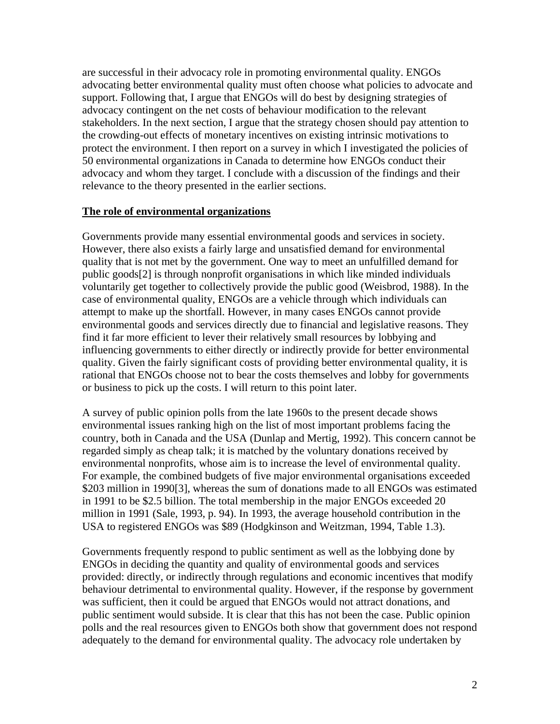are successful in their advocacy role in promoting environmental quality. ENGOs advocating better environmental quality must often choose what policies to advocate and support. Following that, I argue that ENGOs will do best by designing strategies of advocacy contingent on the net costs of behaviour modification to the relevant stakeholders. In the next section, I argue that the strategy chosen should pay attention to the crowding-out effects of monetary incentives on existing intrinsic motivations to protect the environment. I then report on a survey in which I investigated the policies of 50 environmental organizations in Canada to determine how ENGOs conduct their advocacy and whom they target. I conclude with a discussion of the findings and their relevance to the theory presented in the earlier sections.

#### **The role of environmental organizations**

Governments provide many essential environmental goods and services in society. However, there also exists a fairly large and unsatisfied demand for environmental quality that is not met by the government. One way to meet an unfulfilled demand for public goods[2] is through nonprofit organisations in which like minded individuals voluntarily get together to collectively provide the public good (Weisbrod, 1988). In the case of environmental quality, ENGOs are a vehicle through which individuals can attempt to make up the shortfall. However, in many cases ENGOs cannot provide environmental goods and services directly due to financial and legislative reasons. They find it far more efficient to lever their relatively small resources by lobbying and influencing governments to either directly or indirectly provide for better environmental quality. Given the fairly significant costs of providing better environmental quality, it is rational that ENGOs choose not to bear the costs themselves and lobby for governments or business to pick up the costs. I will return to this point later.

A survey of public opinion polls from the late 1960s to the present decade shows environmental issues ranking high on the list of most important problems facing the country, both in Canada and the USA (Dunlap and Mertig, 1992). This concern cannot be regarded simply as cheap talk; it is matched by the voluntary donations received by environmental nonprofits, whose aim is to increase the level of environmental quality. For example, the combined budgets of five major environmental organisations exceeded \$203 million in 1990[3], whereas the sum of donations made to all ENGOs was estimated in 1991 to be \$2.5 billion. The total membership in the major ENGOs exceeded 20 million in 1991 (Sale, 1993, p. 94). In 1993, the average household contribution in the USA to registered ENGOs was \$89 (Hodgkinson and Weitzman, 1994, Table 1.3).

Governments frequently respond to public sentiment as well as the lobbying done by ENGOs in deciding the quantity and quality of environmental goods and services provided: directly, or indirectly through regulations and economic incentives that modify behaviour detrimental to environmental quality. However, if the response by government was sufficient, then it could be argued that ENGOs would not attract donations, and public sentiment would subside. It is clear that this has not been the case. Public opinion polls and the real resources given to ENGOs both show that government does not respond adequately to the demand for environmental quality. The advocacy role undertaken by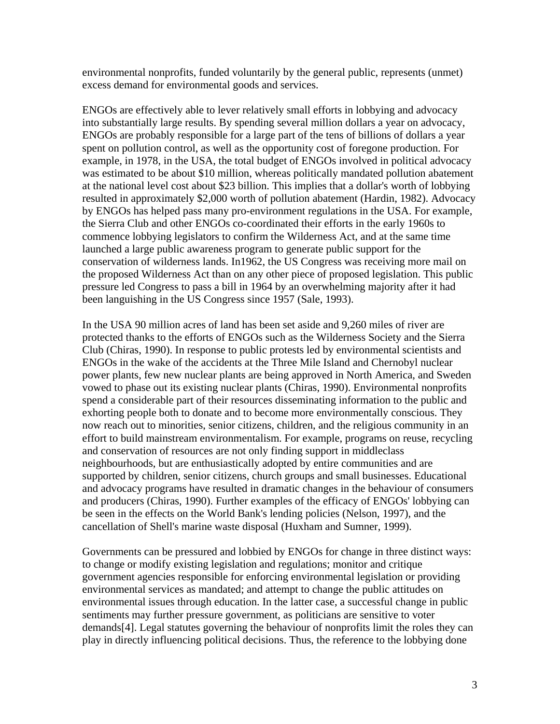environmental nonprofits, funded voluntarily by the general public, represents (unmet) excess demand for environmental goods and services.

ENGOs are effectively able to lever relatively small efforts in lobbying and advocacy into substantially large results. By spending several million dollars a year on advocacy, ENGOs are probably responsible for a large part of the tens of billions of dollars a year spent on pollution control, as well as the opportunity cost of foregone production. For example, in 1978, in the USA, the total budget of ENGOs involved in political advocacy was estimated to be about \$10 million, whereas politically mandated pollution abatement at the national level cost about \$23 billion. This implies that a dollar's worth of lobbying resulted in approximately \$2,000 worth of pollution abatement (Hardin, 1982). Advocacy by ENGOs has helped pass many pro-environment regulations in the USA. For example, the Sierra Club and other ENGOs co-coordinated their efforts in the early 1960s to commence lobbying legislators to confirm the Wilderness Act, and at the same time launched a large public awareness program to generate public support for the conservation of wilderness lands. In1962, the US Congress was receiving more mail on the proposed Wilderness Act than on any other piece of proposed legislation. This public pressure led Congress to pass a bill in 1964 by an overwhelming majority after it had been languishing in the US Congress since 1957 (Sale, 1993).

In the USA 90 million acres of land has been set aside and 9,260 miles of river are protected thanks to the efforts of ENGOs such as the Wilderness Society and the Sierra Club (Chiras, 1990). In response to public protests led by environmental scientists and ENGOs in the wake of the accidents at the Three Mile Island and Chernobyl nuclear power plants, few new nuclear plants are being approved in North America, and Sweden vowed to phase out its existing nuclear plants (Chiras, 1990). Environmental nonprofits spend a considerable part of their resources disseminating information to the public and exhorting people both to donate and to become more environmentally conscious. They now reach out to minorities, senior citizens, children, and the religious community in an effort to build mainstream environmentalism. For example, programs on reuse, recycling and conservation of resources are not only finding support in middleclass neighbourhoods, but are enthusiastically adopted by entire communities and are supported by children, senior citizens, church groups and small businesses. Educational and advocacy programs have resulted in dramatic changes in the behaviour of consumers and producers (Chiras, 1990). Further examples of the efficacy of ENGOs' lobbying can be seen in the effects on the World Bank's lending policies (Nelson, 1997), and the cancellation of Shell's marine waste disposal (Huxham and Sumner, 1999).

Governments can be pressured and lobbied by ENGOs for change in three distinct ways: to change or modify existing legislation and regulations; monitor and critique government agencies responsible for enforcing environmental legislation or providing environmental services as mandated; and attempt to change the public attitudes on environmental issues through education. In the latter case, a successful change in public sentiments may further pressure government, as politicians are sensitive to voter demands[4]. Legal statutes governing the behaviour of nonprofits limit the roles they can play in directly influencing political decisions. Thus, the reference to the lobbying done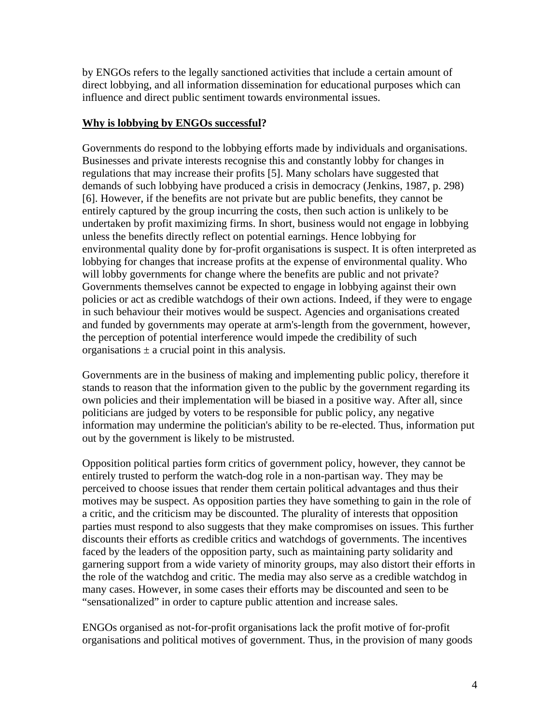by ENGOs refers to the legally sanctioned activities that include a certain amount of direct lobbying, and all information dissemination for educational purposes which can influence and direct public sentiment towards environmental issues.

### **Why is lobbying by ENGOs successful?**

Governments do respond to the lobbying efforts made by individuals and organisations. Businesses and private interests recognise this and constantly lobby for changes in regulations that may increase their profits [5]. Many scholars have suggested that demands of such lobbying have produced a crisis in democracy (Jenkins, 1987, p. 298) [6]. However, if the benefits are not private but are public benefits, they cannot be entirely captured by the group incurring the costs, then such action is unlikely to be undertaken by profit maximizing firms. In short, business would not engage in lobbying unless the benefits directly reflect on potential earnings. Hence lobbying for environmental quality done by for-profit organisations is suspect. It is often interpreted as lobbying for changes that increase profits at the expense of environmental quality. Who will lobby governments for change where the benefits are public and not private? Governments themselves cannot be expected to engage in lobbying against their own policies or act as credible watchdogs of their own actions. Indeed, if they were to engage in such behaviour their motives would be suspect. Agencies and organisations created and funded by governments may operate at arm's-length from the government, however, the perception of potential interference would impede the credibility of such organisations  $\pm$  a crucial point in this analysis.

Governments are in the business of making and implementing public policy, therefore it stands to reason that the information given to the public by the government regarding its own policies and their implementation will be biased in a positive way. After all, since politicians are judged by voters to be responsible for public policy, any negative information may undermine the politician's ability to be re-elected. Thus, information put out by the government is likely to be mistrusted.

Opposition political parties form critics of government policy, however, they cannot be entirely trusted to perform the watch-dog role in a non-partisan way. They may be perceived to choose issues that render them certain political advantages and thus their motives may be suspect. As opposition parties they have something to gain in the role of a critic, and the criticism may be discounted. The plurality of interests that opposition parties must respond to also suggests that they make compromises on issues. This further discounts their efforts as credible critics and watchdogs of governments. The incentives faced by the leaders of the opposition party, such as maintaining party solidarity and garnering support from a wide variety of minority groups, may also distort their efforts in the role of the watchdog and critic. The media may also serve as a credible watchdog in many cases. However, in some cases their efforts may be discounted and seen to be "sensationalized" in order to capture public attention and increase sales.

ENGOs organised as not-for-profit organisations lack the profit motive of for-profit organisations and political motives of government. Thus, in the provision of many goods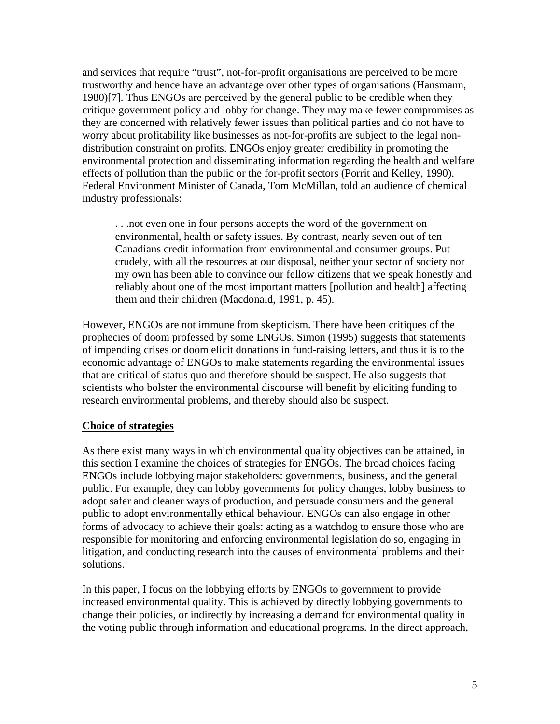and services that require "trust", not-for-profit organisations are perceived to be more trustworthy and hence have an advantage over other types of organisations (Hansmann, 1980)[7]. Thus ENGOs are perceived by the general public to be credible when they critique government policy and lobby for change. They may make fewer compromises as they are concerned with relatively fewer issues than political parties and do not have to worry about profitability like businesses as not-for-profits are subject to the legal nondistribution constraint on profits. ENGOs enjoy greater credibility in promoting the environmental protection and disseminating information regarding the health and welfare effects of pollution than the public or the for-profit sectors (Porrit and Kelley, 1990). Federal Environment Minister of Canada, Tom McMillan, told an audience of chemical industry professionals:

. . .not even one in four persons accepts the word of the government on environmental, health or safety issues. By contrast, nearly seven out of ten Canadians credit information from environmental and consumer groups. Put crudely, with all the resources at our disposal, neither your sector of society nor my own has been able to convince our fellow citizens that we speak honestly and reliably about one of the most important matters [pollution and health] affecting them and their children (Macdonald, 1991, p. 45).

However, ENGOs are not immune from skepticism. There have been critiques of the prophecies of doom professed by some ENGOs. Simon (1995) suggests that statements of impending crises or doom elicit donations in fund-raising letters, and thus it is to the economic advantage of ENGOs to make statements regarding the environmental issues that are critical of status quo and therefore should be suspect. He also suggests that scientists who bolster the environmental discourse will benefit by eliciting funding to research environmental problems, and thereby should also be suspect.

#### **Choice of strategies**

As there exist many ways in which environmental quality objectives can be attained, in this section I examine the choices of strategies for ENGOs. The broad choices facing ENGOs include lobbying major stakeholders: governments, business, and the general public. For example, they can lobby governments for policy changes, lobby business to adopt safer and cleaner ways of production, and persuade consumers and the general public to adopt environmentally ethical behaviour. ENGOs can also engage in other forms of advocacy to achieve their goals: acting as a watchdog to ensure those who are responsible for monitoring and enforcing environmental legislation do so, engaging in litigation, and conducting research into the causes of environmental problems and their solutions.

In this paper, I focus on the lobbying efforts by ENGOs to government to provide increased environmental quality. This is achieved by directly lobbying governments to change their policies, or indirectly by increasing a demand for environmental quality in the voting public through information and educational programs. In the direct approach,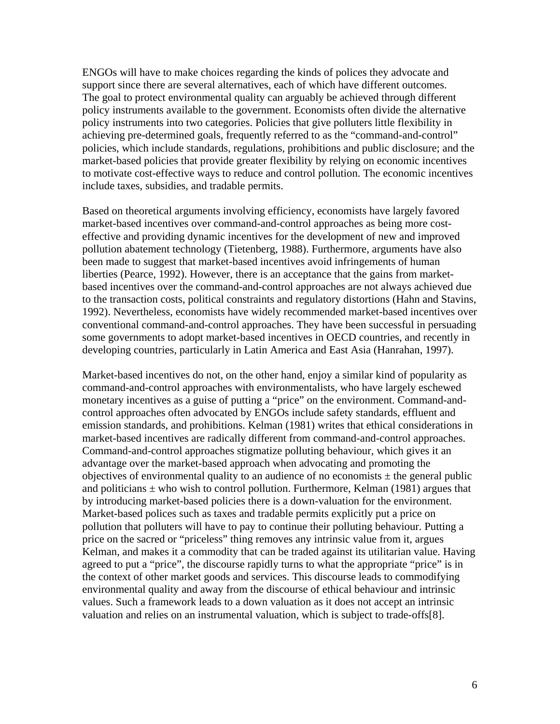ENGOs will have to make choices regarding the kinds of polices they advocate and support since there are several alternatives, each of which have different outcomes. The goal to protect environmental quality can arguably be achieved through different policy instruments available to the government. Economists often divide the alternative policy instruments into two categories. Policies that give polluters little flexibility in achieving pre-determined goals, frequently referred to as the "command-and-control" policies, which include standards, regulations, prohibitions and public disclosure; and the market-based policies that provide greater flexibility by relying on economic incentives to motivate cost-effective ways to reduce and control pollution. The economic incentives include taxes, subsidies, and tradable permits.

Based on theoretical arguments involving efficiency, economists have largely favored market-based incentives over command-and-control approaches as being more costeffective and providing dynamic incentives for the development of new and improved pollution abatement technology (Tietenberg, 1988). Furthermore, arguments have also been made to suggest that market-based incentives avoid infringements of human liberties (Pearce, 1992). However, there is an acceptance that the gains from marketbased incentives over the command-and-control approaches are not always achieved due to the transaction costs, political constraints and regulatory distortions (Hahn and Stavins, 1992). Nevertheless, economists have widely recommended market-based incentives over conventional command-and-control approaches. They have been successful in persuading some governments to adopt market-based incentives in OECD countries, and recently in developing countries, particularly in Latin America and East Asia (Hanrahan, 1997).

Market-based incentives do not, on the other hand, enjoy a similar kind of popularity as command-and-control approaches with environmentalists, who have largely eschewed monetary incentives as a guise of putting a "price" on the environment. Command-andcontrol approaches often advocated by ENGOs include safety standards, effluent and emission standards, and prohibitions. Kelman (1981) writes that ethical considerations in market-based incentives are radically different from command-and-control approaches. Command-and-control approaches stigmatize polluting behaviour, which gives it an advantage over the market-based approach when advocating and promoting the objectives of environmental quality to an audience of no economists  $\pm$  the general public and politicians  $\pm$  who wish to control pollution. Furthermore, Kelman (1981) argues that by introducing market-based policies there is a down-valuation for the environment. Market-based polices such as taxes and tradable permits explicitly put a price on pollution that polluters will have to pay to continue their polluting behaviour. Putting a price on the sacred or "priceless" thing removes any intrinsic value from it, argues Kelman, and makes it a commodity that can be traded against its utilitarian value. Having agreed to put a "price", the discourse rapidly turns to what the appropriate "price" is in the context of other market goods and services. This discourse leads to commodifying environmental quality and away from the discourse of ethical behaviour and intrinsic values. Such a framework leads to a down valuation as it does not accept an intrinsic valuation and relies on an instrumental valuation, which is subject to trade-offs[8].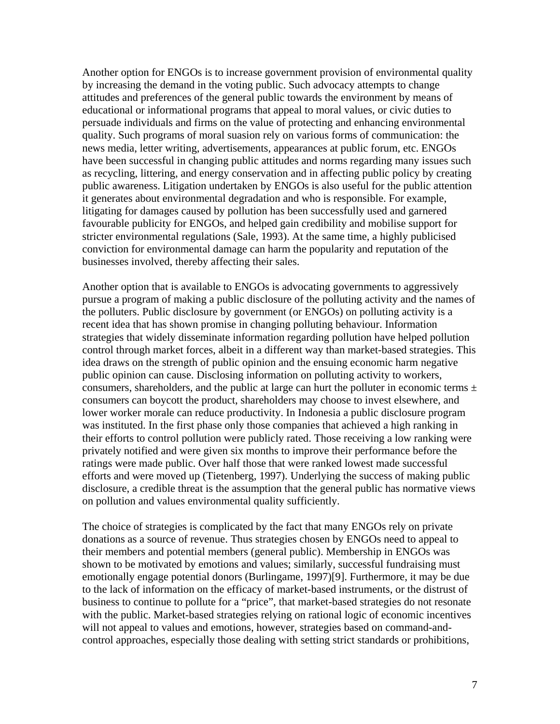Another option for ENGOs is to increase government provision of environmental quality by increasing the demand in the voting public. Such advocacy attempts to change attitudes and preferences of the general public towards the environment by means of educational or informational programs that appeal to moral values, or civic duties to persuade individuals and firms on the value of protecting and enhancing environmental quality. Such programs of moral suasion rely on various forms of communication: the news media, letter writing, advertisements, appearances at public forum, etc. ENGOs have been successful in changing public attitudes and norms regarding many issues such as recycling, littering, and energy conservation and in affecting public policy by creating public awareness. Litigation undertaken by ENGOs is also useful for the public attention it generates about environmental degradation and who is responsible. For example, litigating for damages caused by pollution has been successfully used and garnered favourable publicity for ENGOs, and helped gain credibility and mobilise support for stricter environmental regulations (Sale, 1993). At the same time, a highly publicised conviction for environmental damage can harm the popularity and reputation of the businesses involved, thereby affecting their sales.

Another option that is available to ENGOs is advocating governments to aggressively pursue a program of making a public disclosure of the polluting activity and the names of the polluters. Public disclosure by government (or ENGOs) on polluting activity is a recent idea that has shown promise in changing polluting behaviour. Information strategies that widely disseminate information regarding pollution have helped pollution control through market forces, albeit in a different way than market-based strategies. This idea draws on the strength of public opinion and the ensuing economic harm negative public opinion can cause. Disclosing information on polluting activity to workers, consumers, shareholders, and the public at large can hurt the polluter in economic terms  $\pm$ consumers can boycott the product, shareholders may choose to invest elsewhere, and lower worker morale can reduce productivity. In Indonesia a public disclosure program was instituted. In the first phase only those companies that achieved a high ranking in their efforts to control pollution were publicly rated. Those receiving a low ranking were privately notified and were given six months to improve their performance before the ratings were made public. Over half those that were ranked lowest made successful efforts and were moved up (Tietenberg, 1997). Underlying the success of making public disclosure, a credible threat is the assumption that the general public has normative views on pollution and values environmental quality sufficiently.

The choice of strategies is complicated by the fact that many ENGOs rely on private donations as a source of revenue. Thus strategies chosen by ENGOs need to appeal to their members and potential members (general public). Membership in ENGOs was shown to be motivated by emotions and values; similarly, successful fundraising must emotionally engage potential donors (Burlingame, 1997)[9]. Furthermore, it may be due to the lack of information on the efficacy of market-based instruments, or the distrust of business to continue to pollute for a "price", that market-based strategies do not resonate with the public. Market-based strategies relying on rational logic of economic incentives will not appeal to values and emotions, however, strategies based on command-andcontrol approaches, especially those dealing with setting strict standards or prohibitions,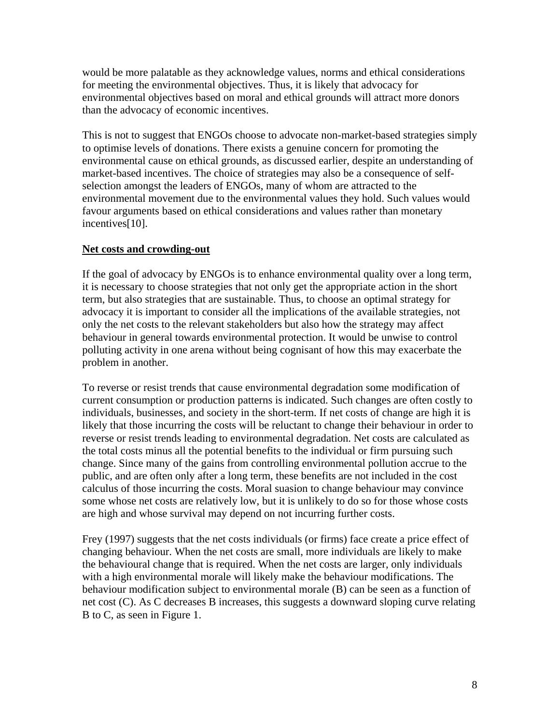would be more palatable as they acknowledge values, norms and ethical considerations for meeting the environmental objectives. Thus, it is likely that advocacy for environmental objectives based on moral and ethical grounds will attract more donors than the advocacy of economic incentives.

This is not to suggest that ENGOs choose to advocate non-market-based strategies simply to optimise levels of donations. There exists a genuine concern for promoting the environmental cause on ethical grounds, as discussed earlier, despite an understanding of market-based incentives. The choice of strategies may also be a consequence of selfselection amongst the leaders of ENGOs, many of whom are attracted to the environmental movement due to the environmental values they hold. Such values would favour arguments based on ethical considerations and values rather than monetary incentives[10].

# **Net costs and crowding-out**

If the goal of advocacy by ENGOs is to enhance environmental quality over a long term, it is necessary to choose strategies that not only get the appropriate action in the short term, but also strategies that are sustainable. Thus, to choose an optimal strategy for advocacy it is important to consider all the implications of the available strategies, not only the net costs to the relevant stakeholders but also how the strategy may affect behaviour in general towards environmental protection. It would be unwise to control polluting activity in one arena without being cognisant of how this may exacerbate the problem in another.

To reverse or resist trends that cause environmental degradation some modification of current consumption or production patterns is indicated. Such changes are often costly to individuals, businesses, and society in the short-term. If net costs of change are high it is likely that those incurring the costs will be reluctant to change their behaviour in order to reverse or resist trends leading to environmental degradation. Net costs are calculated as the total costs minus all the potential benefits to the individual or firm pursuing such change. Since many of the gains from controlling environmental pollution accrue to the public, and are often only after a long term, these benefits are not included in the cost calculus of those incurring the costs. Moral suasion to change behaviour may convince some whose net costs are relatively low, but it is unlikely to do so for those whose costs are high and whose survival may depend on not incurring further costs.

Frey (1997) suggests that the net costs individuals (or firms) face create a price effect of changing behaviour. When the net costs are small, more individuals are likely to make the behavioural change that is required. When the net costs are larger, only individuals with a high environmental morale will likely make the behaviour modifications. The behaviour modification subject to environmental morale (B) can be seen as a function of net cost (C). As C decreases B increases, this suggests a downward sloping curve relating B to C, as seen in Figure 1.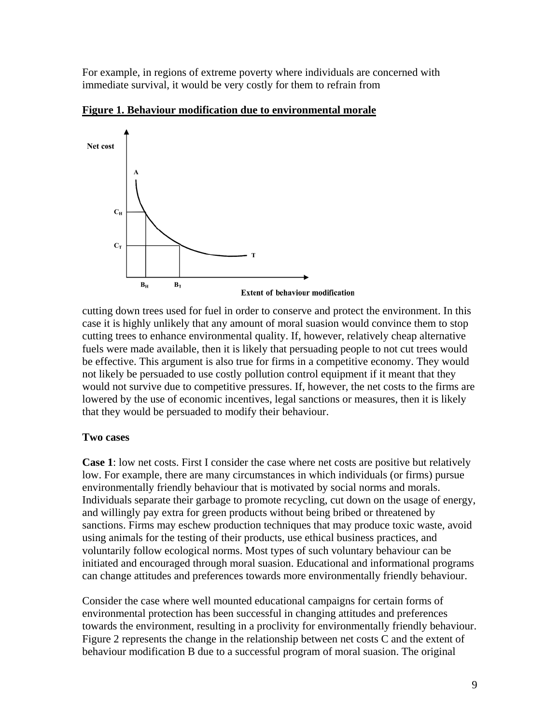For example, in regions of extreme poverty where individuals are concerned with immediate survival, it would be very costly for them to refrain from



**Figure 1. Behaviour modification due to environmental morale**

cutting down trees used for fuel in order to conserve and protect the environment. In this case it is highly unlikely that any amount of moral suasion would convince them to stop cutting trees to enhance environmental quality. If, however, relatively cheap alternative fuels were made available, then it is likely that persuading people to not cut trees would be effective. This argument is also true for firms in a competitive economy. They would not likely be persuaded to use costly pollution control equipment if it meant that they would not survive due to competitive pressures. If, however, the net costs to the firms are lowered by the use of economic incentives, legal sanctions or measures, then it is likely that they would be persuaded to modify their behaviour.

#### **Two cases**

**Case 1**: low net costs. First I consider the case where net costs are positive but relatively low. For example, there are many circumstances in which individuals (or firms) pursue environmentally friendly behaviour that is motivated by social norms and morals. Individuals separate their garbage to promote recycling, cut down on the usage of energy, and willingly pay extra for green products without being bribed or threatened by sanctions. Firms may eschew production techniques that may produce toxic waste, avoid using animals for the testing of their products, use ethical business practices, and voluntarily follow ecological norms. Most types of such voluntary behaviour can be initiated and encouraged through moral suasion. Educational and informational programs can change attitudes and preferences towards more environmentally friendly behaviour.

Consider the case where well mounted educational campaigns for certain forms of environmental protection has been successful in changing attitudes and preferences towards the environment, resulting in a proclivity for environmentally friendly behaviour. Figure 2 represents the change in the relationship between net costs C and the extent of behaviour modification B due to a successful program of moral suasion. The original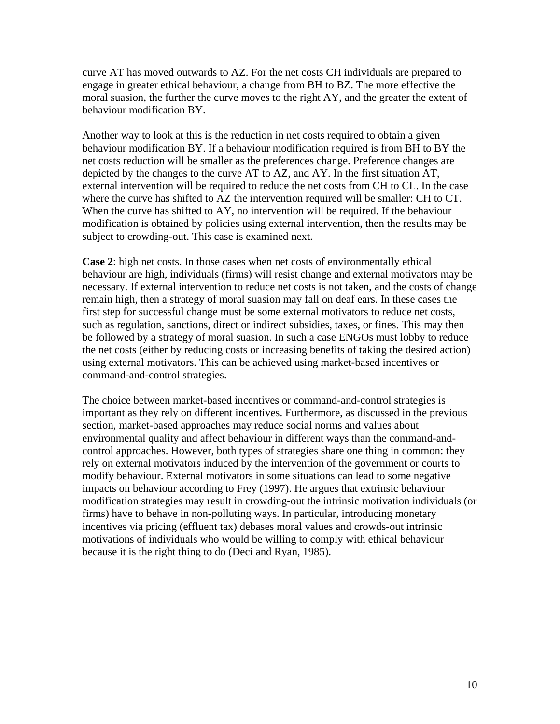curve AT has moved outwards to AZ. For the net costs CH individuals are prepared to engage in greater ethical behaviour, a change from BH to BZ. The more effective the moral suasion, the further the curve moves to the right AY, and the greater the extent of behaviour modification BY.

Another way to look at this is the reduction in net costs required to obtain a given behaviour modification BY. If a behaviour modification required is from BH to BY the net costs reduction will be smaller as the preferences change. Preference changes are depicted by the changes to the curve AT to AZ, and AY. In the first situation AT, external intervention will be required to reduce the net costs from CH to CL. In the case where the curve has shifted to AZ the intervention required will be smaller: CH to CT. When the curve has shifted to AY, no intervention will be required. If the behaviour modification is obtained by policies using external intervention, then the results may be subject to crowding-out. This case is examined next.

**Case 2**: high net costs. In those cases when net costs of environmentally ethical behaviour are high, individuals (firms) will resist change and external motivators may be necessary. If external intervention to reduce net costs is not taken, and the costs of change remain high, then a strategy of moral suasion may fall on deaf ears. In these cases the first step for successful change must be some external motivators to reduce net costs, such as regulation, sanctions, direct or indirect subsidies, taxes, or fines. This may then be followed by a strategy of moral suasion. In such a case ENGOs must lobby to reduce the net costs (either by reducing costs or increasing benefits of taking the desired action) using external motivators. This can be achieved using market-based incentives or command-and-control strategies.

The choice between market-based incentives or command-and-control strategies is important as they rely on different incentives. Furthermore, as discussed in the previous section, market-based approaches may reduce social norms and values about environmental quality and affect behaviour in different ways than the command-andcontrol approaches. However, both types of strategies share one thing in common: they rely on external motivators induced by the intervention of the government or courts to modify behaviour. External motivators in some situations can lead to some negative impacts on behaviour according to Frey (1997). He argues that extrinsic behaviour modification strategies may result in crowding-out the intrinsic motivation individuals (or firms) have to behave in non-polluting ways. In particular, introducing monetary incentives via pricing (effluent tax) debases moral values and crowds-out intrinsic motivations of individuals who would be willing to comply with ethical behaviour because it is the right thing to do (Deci and Ryan, 1985).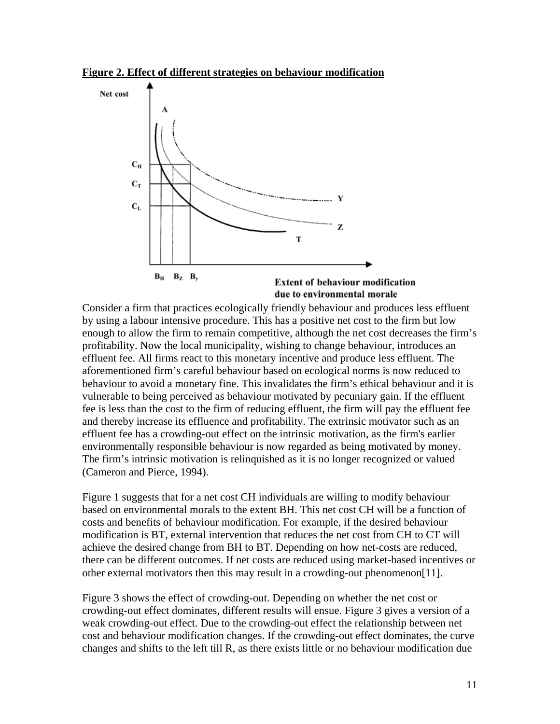



due to environmental morale

Consider a firm that practices ecologically friendly behaviour and produces less effluent by using a labour intensive procedure. This has a positive net cost to the firm but low enough to allow the firm to remain competitive, although the net cost decreases the firm's profitability. Now the local municipality, wishing to change behaviour, introduces an effluent fee. All firms react to this monetary incentive and produce less effluent. The aforementioned firm's careful behaviour based on ecological norms is now reduced to behaviour to avoid a monetary fine. This invalidates the firm's ethical behaviour and it is vulnerable to being perceived as behaviour motivated by pecuniary gain. If the effluent fee is less than the cost to the firm of reducing effluent, the firm will pay the effluent fee and thereby increase its effluence and profitability. The extrinsic motivator such as an effluent fee has a crowding-out effect on the intrinsic motivation, as the firm's earlier environmentally responsible behaviour is now regarded as being motivated by money. The firm's intrinsic motivation is relinquished as it is no longer recognized or valued (Cameron and Pierce, 1994).

Figure 1 suggests that for a net cost CH individuals are willing to modify behaviour based on environmental morals to the extent BH. This net cost CH will be a function of costs and benefits of behaviour modification. For example, if the desired behaviour modification is BT, external intervention that reduces the net cost from CH to CT will achieve the desired change from BH to BT. Depending on how net-costs are reduced, there can be different outcomes. If net costs are reduced using market-based incentives or other external motivators then this may result in a crowding-out phenomenon[11].

Figure 3 shows the effect of crowding-out. Depending on whether the net cost or crowding-out effect dominates, different results will ensue. Figure 3 gives a version of a weak crowding-out effect. Due to the crowding-out effect the relationship between net cost and behaviour modification changes. If the crowding-out effect dominates, the curve changes and shifts to the left till R, as there exists little or no behaviour modification due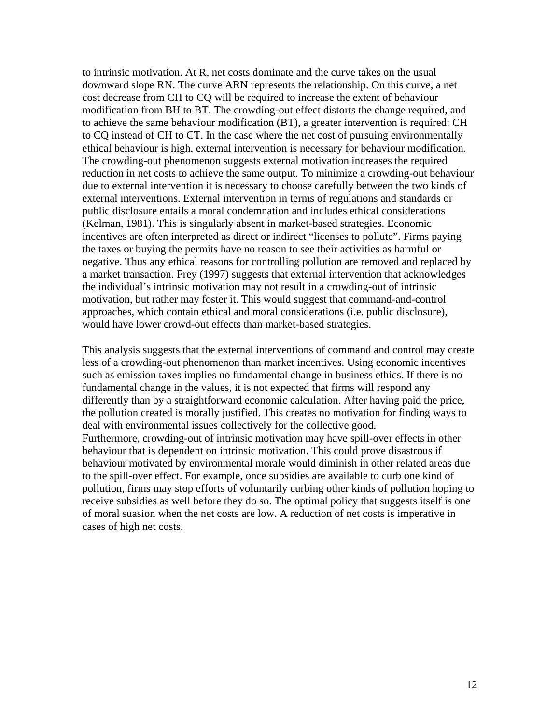to intrinsic motivation. At R, net costs dominate and the curve takes on the usual downward slope RN. The curve ARN represents the relationship. On this curve, a net cost decrease from CH to CQ will be required to increase the extent of behaviour modification from BH to BT. The crowding-out effect distorts the change required, and to achieve the same behaviour modification (BT), a greater intervention is required: CH to CQ instead of CH to CT. In the case where the net cost of pursuing environmentally ethical behaviour is high, external intervention is necessary for behaviour modification. The crowding-out phenomenon suggests external motivation increases the required reduction in net costs to achieve the same output. To minimize a crowding-out behaviour due to external intervention it is necessary to choose carefully between the two kinds of external interventions. External intervention in terms of regulations and standards or public disclosure entails a moral condemnation and includes ethical considerations (Kelman, 1981). This is singularly absent in market-based strategies. Economic incentives are often interpreted as direct or indirect "licenses to pollute". Firms paying the taxes or buying the permits have no reason to see their activities as harmful or negative. Thus any ethical reasons for controlling pollution are removed and replaced by a market transaction. Frey (1997) suggests that external intervention that acknowledges the individual's intrinsic motivation may not result in a crowding-out of intrinsic motivation, but rather may foster it. This would suggest that command-and-control approaches, which contain ethical and moral considerations (i.e. public disclosure), would have lower crowd-out effects than market-based strategies.

This analysis suggests that the external interventions of command and control may create less of a crowding-out phenomenon than market incentives. Using economic incentives such as emission taxes implies no fundamental change in business ethics. If there is no fundamental change in the values, it is not expected that firms will respond any differently than by a straightforward economic calculation. After having paid the price, the pollution created is morally justified. This creates no motivation for finding ways to deal with environmental issues collectively for the collective good. Furthermore, crowding-out of intrinsic motivation may have spill-over effects in other behaviour that is dependent on intrinsic motivation. This could prove disastrous if behaviour motivated by environmental morale would diminish in other related areas due to the spill-over effect. For example, once subsidies are available to curb one kind of pollution, firms may stop efforts of voluntarily curbing other kinds of pollution hoping to receive subsidies as well before they do so. The optimal policy that suggests itself is one of moral suasion when the net costs are low. A reduction of net costs is imperative in cases of high net costs.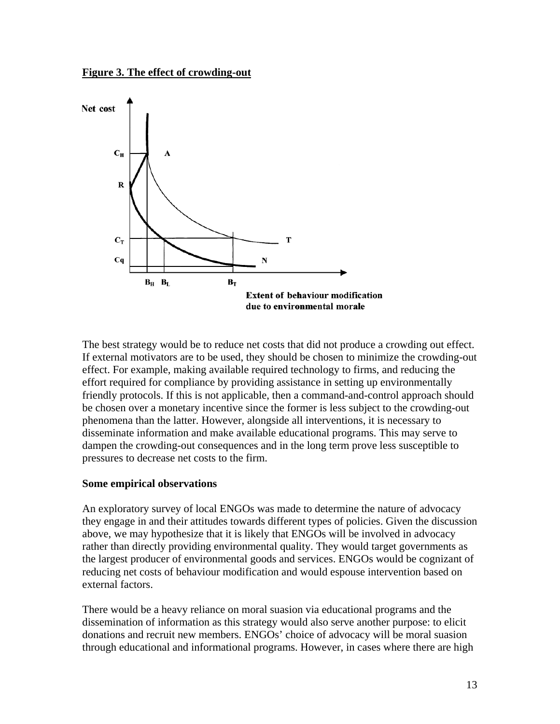**Figure 3. The effect of crowding-out**



The best strategy would be to reduce net costs that did not produce a crowding out effect. If external motivators are to be used, they should be chosen to minimize the crowding-out effect. For example, making available required technology to firms, and reducing the effort required for compliance by providing assistance in setting up environmentally friendly protocols. If this is not applicable, then a command-and-control approach should be chosen over a monetary incentive since the former is less subject to the crowding-out phenomena than the latter. However, alongside all interventions, it is necessary to disseminate information and make available educational programs. This may serve to dampen the crowding-out consequences and in the long term prove less susceptible to pressures to decrease net costs to the firm.

# **Some empirical observations**

An exploratory survey of local ENGOs was made to determine the nature of advocacy they engage in and their attitudes towards different types of policies. Given the discussion above, we may hypothesize that it is likely that ENGOs will be involved in advocacy rather than directly providing environmental quality. They would target governments as the largest producer of environmental goods and services. ENGOs would be cognizant of reducing net costs of behaviour modification and would espouse intervention based on external factors.

There would be a heavy reliance on moral suasion via educational programs and the dissemination of information as this strategy would also serve another purpose: to elicit donations and recruit new members. ENGOs' choice of advocacy will be moral suasion through educational and informational programs. However, in cases where there are high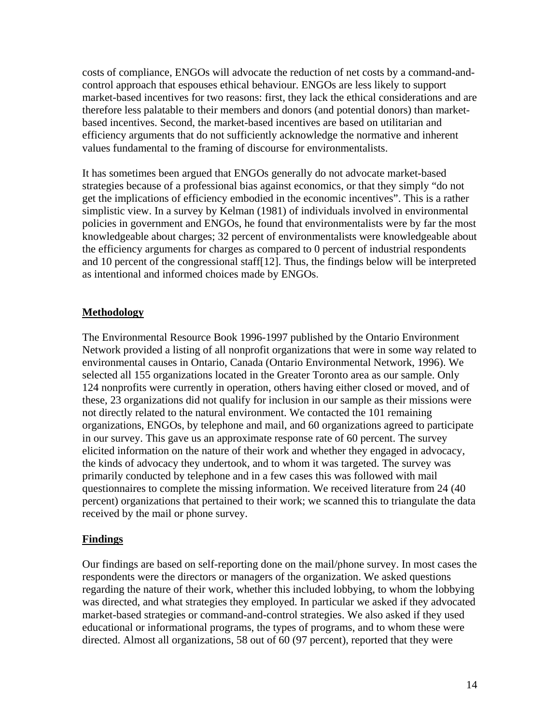costs of compliance, ENGOs will advocate the reduction of net costs by a command-andcontrol approach that espouses ethical behaviour. ENGOs are less likely to support market-based incentives for two reasons: first, they lack the ethical considerations and are therefore less palatable to their members and donors (and potential donors) than marketbased incentives. Second, the market-based incentives are based on utilitarian and efficiency arguments that do not sufficiently acknowledge the normative and inherent values fundamental to the framing of discourse for environmentalists.

It has sometimes been argued that ENGOs generally do not advocate market-based strategies because of a professional bias against economics, or that they simply "do not get the implications of efficiency embodied in the economic incentives". This is a rather simplistic view. In a survey by Kelman (1981) of individuals involved in environmental policies in government and ENGOs, he found that environmentalists were by far the most knowledgeable about charges; 32 percent of environmentalists were knowledgeable about the efficiency arguments for charges as compared to 0 percent of industrial respondents and 10 percent of the congressional staff[12]. Thus, the findings below will be interpreted as intentional and informed choices made by ENGOs.

#### **Methodology**

The Environmental Resource Book 1996-1997 published by the Ontario Environment Network provided a listing of all nonprofit organizations that were in some way related to environmental causes in Ontario, Canada (Ontario Environmental Network, 1996). We selected all 155 organizations located in the Greater Toronto area as our sample. Only 124 nonprofits were currently in operation, others having either closed or moved, and of these, 23 organizations did not qualify for inclusion in our sample as their missions were not directly related to the natural environment. We contacted the 101 remaining organizations, ENGOs, by telephone and mail, and 60 organizations agreed to participate in our survey. This gave us an approximate response rate of 60 percent. The survey elicited information on the nature of their work and whether they engaged in advocacy, the kinds of advocacy they undertook, and to whom it was targeted. The survey was primarily conducted by telephone and in a few cases this was followed with mail questionnaires to complete the missing information. We received literature from 24 (40 percent) organizations that pertained to their work; we scanned this to triangulate the data received by the mail or phone survey.

#### **Findings**

Our findings are based on self-reporting done on the mail/phone survey. In most cases the respondents were the directors or managers of the organization. We asked questions regarding the nature of their work, whether this included lobbying, to whom the lobbying was directed, and what strategies they employed. In particular we asked if they advocated market-based strategies or command-and-control strategies. We also asked if they used educational or informational programs, the types of programs, and to whom these were directed. Almost all organizations, 58 out of 60 (97 percent), reported that they were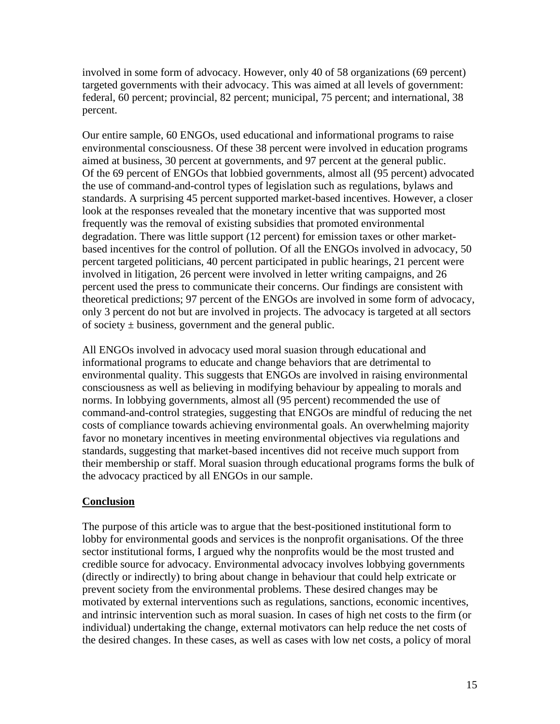involved in some form of advocacy. However, only 40 of 58 organizations (69 percent) targeted governments with their advocacy. This was aimed at all levels of government: federal, 60 percent; provincial, 82 percent; municipal, 75 percent; and international, 38 percent.

Our entire sample, 60 ENGOs, used educational and informational programs to raise environmental consciousness. Of these 38 percent were involved in education programs aimed at business, 30 percent at governments, and 97 percent at the general public. Of the 69 percent of ENGOs that lobbied governments, almost all (95 percent) advocated the use of command-and-control types of legislation such as regulations, bylaws and standards. A surprising 45 percent supported market-based incentives. However, a closer look at the responses revealed that the monetary incentive that was supported most frequently was the removal of existing subsidies that promoted environmental degradation. There was little support (12 percent) for emission taxes or other marketbased incentives for the control of pollution. Of all the ENGOs involved in advocacy, 50 percent targeted politicians, 40 percent participated in public hearings, 21 percent were involved in litigation, 26 percent were involved in letter writing campaigns, and 26 percent used the press to communicate their concerns. Our findings are consistent with theoretical predictions; 97 percent of the ENGOs are involved in some form of advocacy, only 3 percent do not but are involved in projects. The advocacy is targeted at all sectors of society  $\pm$  business, government and the general public.

All ENGOs involved in advocacy used moral suasion through educational and informational programs to educate and change behaviors that are detrimental to environmental quality. This suggests that ENGOs are involved in raising environmental consciousness as well as believing in modifying behaviour by appealing to morals and norms. In lobbying governments, almost all (95 percent) recommended the use of command-and-control strategies, suggesting that ENGOs are mindful of reducing the net costs of compliance towards achieving environmental goals. An overwhelming majority favor no monetary incentives in meeting environmental objectives via regulations and standards, suggesting that market-based incentives did not receive much support from their membership or staff. Moral suasion through educational programs forms the bulk of the advocacy practiced by all ENGOs in our sample.

# **Conclusion**

The purpose of this article was to argue that the best-positioned institutional form to lobby for environmental goods and services is the nonprofit organisations. Of the three sector institutional forms, I argued why the nonprofits would be the most trusted and credible source for advocacy. Environmental advocacy involves lobbying governments (directly or indirectly) to bring about change in behaviour that could help extricate or prevent society from the environmental problems. These desired changes may be motivated by external interventions such as regulations, sanctions, economic incentives, and intrinsic intervention such as moral suasion. In cases of high net costs to the firm (or individual) undertaking the change, external motivators can help reduce the net costs of the desired changes. In these cases, as well as cases with low net costs, a policy of moral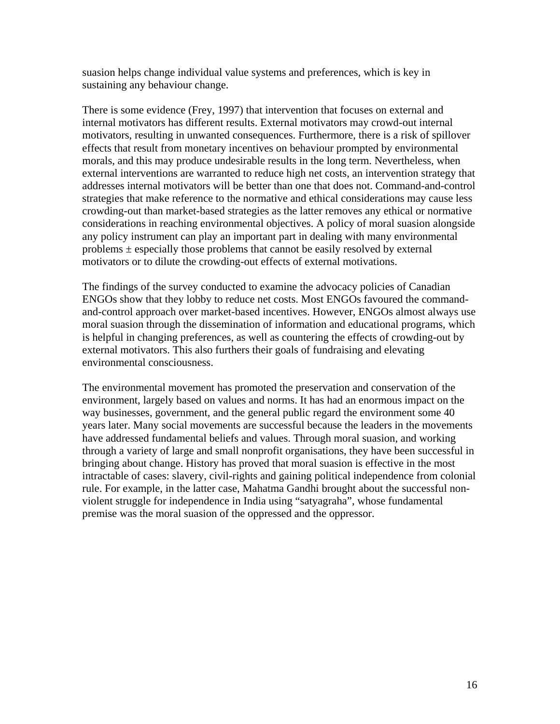suasion helps change individual value systems and preferences, which is key in sustaining any behaviour change.

There is some evidence (Frey, 1997) that intervention that focuses on external and internal motivators has different results. External motivators may crowd-out internal motivators, resulting in unwanted consequences. Furthermore, there is a risk of spillover effects that result from monetary incentives on behaviour prompted by environmental morals, and this may produce undesirable results in the long term. Nevertheless, when external interventions are warranted to reduce high net costs, an intervention strategy that addresses internal motivators will be better than one that does not. Command-and-control strategies that make reference to the normative and ethical considerations may cause less crowding-out than market-based strategies as the latter removes any ethical or normative considerations in reaching environmental objectives. A policy of moral suasion alongside any policy instrument can play an important part in dealing with many environmental problems  $\pm$  especially those problems that cannot be easily resolved by external motivators or to dilute the crowding-out effects of external motivations.

The findings of the survey conducted to examine the advocacy policies of Canadian ENGOs show that they lobby to reduce net costs. Most ENGOs favoured the commandand-control approach over market-based incentives. However, ENGOs almost always use moral suasion through the dissemination of information and educational programs, which is helpful in changing preferences, as well as countering the effects of crowding-out by external motivators. This also furthers their goals of fundraising and elevating environmental consciousness.

The environmental movement has promoted the preservation and conservation of the environment, largely based on values and norms. It has had an enormous impact on the way businesses, government, and the general public regard the environment some 40 years later. Many social movements are successful because the leaders in the movements have addressed fundamental beliefs and values. Through moral suasion, and working through a variety of large and small nonprofit organisations, they have been successful in bringing about change. History has proved that moral suasion is effective in the most intractable of cases: slavery, civil-rights and gaining political independence from colonial rule. For example, in the latter case, Mahatma Gandhi brought about the successful nonviolent struggle for independence in India using "satyagraha", whose fundamental premise was the moral suasion of the oppressed and the oppressor.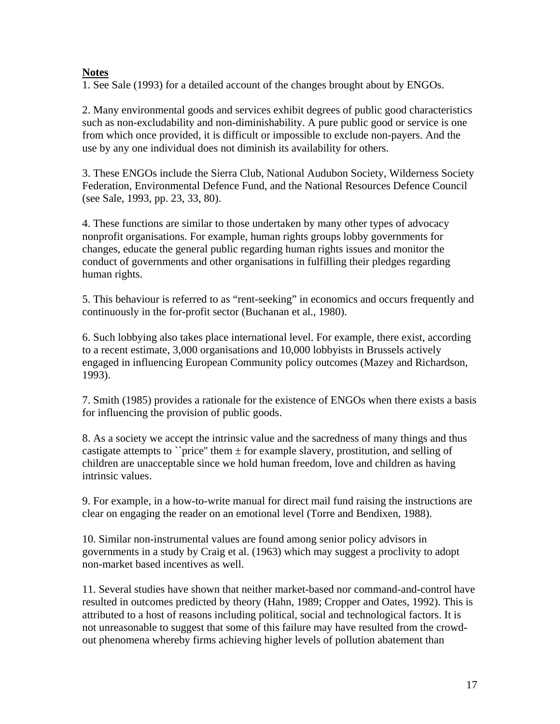# **Notes**

1. See Sale (1993) for a detailed account of the changes brought about by ENGOs.

2. Many environmental goods and services exhibit degrees of public good characteristics such as non-excludability and non-diminishability. A pure public good or service is one from which once provided, it is difficult or impossible to exclude non-payers. And the use by any one individual does not diminish its availability for others.

3. These ENGOs include the Sierra Club, National Audubon Society, Wilderness Society Federation, Environmental Defence Fund, and the National Resources Defence Council (see Sale, 1993, pp. 23, 33, 80).

4. These functions are similar to those undertaken by many other types of advocacy nonprofit organisations. For example, human rights groups lobby governments for changes, educate the general public regarding human rights issues and monitor the conduct of governments and other organisations in fulfilling their pledges regarding human rights.

5. This behaviour is referred to as "rent-seeking" in economics and occurs frequently and continuously in the for-profit sector (Buchanan et al., 1980).

6. Such lobbying also takes place international level. For example, there exist, according to a recent estimate, 3,000 organisations and 10,000 lobbyists in Brussels actively engaged in influencing European Community policy outcomes (Mazey and Richardson, 1993).

7. Smith (1985) provides a rationale for the existence of ENGOs when there exists a basis for influencing the provision of public goods.

8. As a society we accept the intrinsic value and the sacredness of many things and thus castigate attempts to "price" them  $\pm$  for example slavery, prostitution, and selling of children are unacceptable since we hold human freedom, love and children as having intrinsic values.

9. For example, in a how-to-write manual for direct mail fund raising the instructions are clear on engaging the reader on an emotional level (Torre and Bendixen, 1988).

10. Similar non-instrumental values are found among senior policy advisors in governments in a study by Craig et al. (1963) which may suggest a proclivity to adopt non-market based incentives as well.

11. Several studies have shown that neither market-based nor command-and-control have resulted in outcomes predicted by theory (Hahn, 1989; Cropper and Oates, 1992). This is attributed to a host of reasons including political, social and technological factors. It is not unreasonable to suggest that some of this failure may have resulted from the crowdout phenomena whereby firms achieving higher levels of pollution abatement than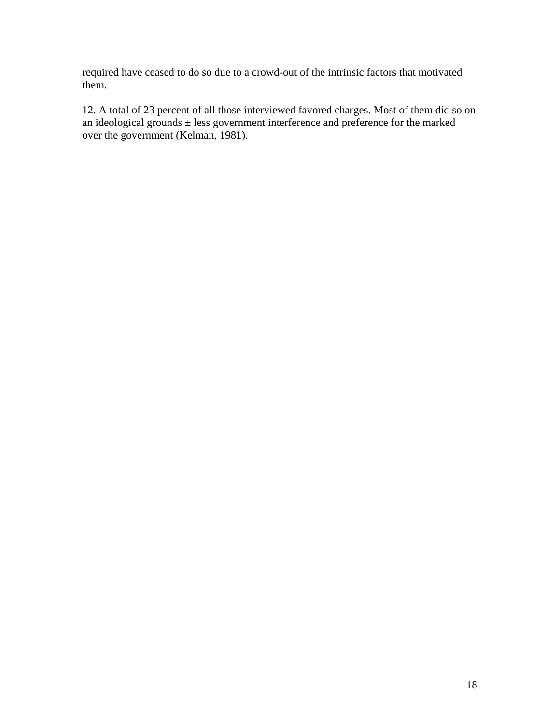required have ceased to do so due to a crowd-out of the intrinsic factors that motivated them.

12. A total of 23 percent of all those interviewed favored charges. Most of them did so on an ideological grounds  $\pm$  less government interference and preference for the marked over the government (Kelman, 1981).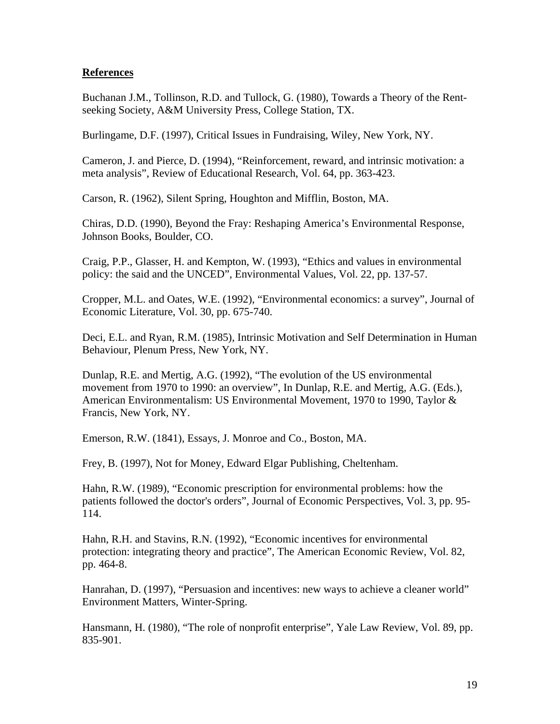#### **References**

Buchanan J.M., Tollinson, R.D. and Tullock, G. (1980), Towards a Theory of the Rentseeking Society, A&M University Press, College Station, TX.

Burlingame, D.F. (1997), Critical Issues in Fundraising, Wiley, New York, NY.

Cameron, J. and Pierce, D. (1994), "Reinforcement, reward, and intrinsic motivation: a meta analysis", Review of Educational Research, Vol. 64, pp. 363-423.

Carson, R. (1962), Silent Spring, Houghton and Mifflin, Boston, MA.

Chiras, D.D. (1990), Beyond the Fray: Reshaping America's Environmental Response, Johnson Books, Boulder, CO.

Craig, P.P., Glasser, H. and Kempton, W. (1993), "Ethics and values in environmental policy: the said and the UNCED", Environmental Values, Vol. 22, pp. 137-57.

Cropper, M.L. and Oates, W.E. (1992), "Environmental economics: a survey", Journal of Economic Literature, Vol. 30, pp. 675-740.

Deci, E.L. and Ryan, R.M. (1985), Intrinsic Motivation and Self Determination in Human Behaviour, Plenum Press, New York, NY.

Dunlap, R.E. and Mertig, A.G. (1992), "The evolution of the US environmental movement from 1970 to 1990: an overview", In Dunlap, R.E. and Mertig, A.G. (Eds.), American Environmentalism: US Environmental Movement, 1970 to 1990, Taylor & Francis, New York, NY.

Emerson, R.W. (1841), Essays, J. Monroe and Co., Boston, MA.

Frey, B. (1997), Not for Money, Edward Elgar Publishing, Cheltenham.

Hahn, R.W. (1989), "Economic prescription for environmental problems: how the patients followed the doctor's orders", Journal of Economic Perspectives, Vol. 3, pp. 95- 114.

Hahn, R.H. and Stavins, R.N. (1992), "Economic incentives for environmental protection: integrating theory and practice", The American Economic Review, Vol. 82, pp. 464-8.

Hanrahan, D. (1997), "Persuasion and incentives: new ways to achieve a cleaner world" Environment Matters, Winter-Spring.

Hansmann, H. (1980), "The role of nonprofit enterprise", Yale Law Review, Vol. 89, pp. 835-901.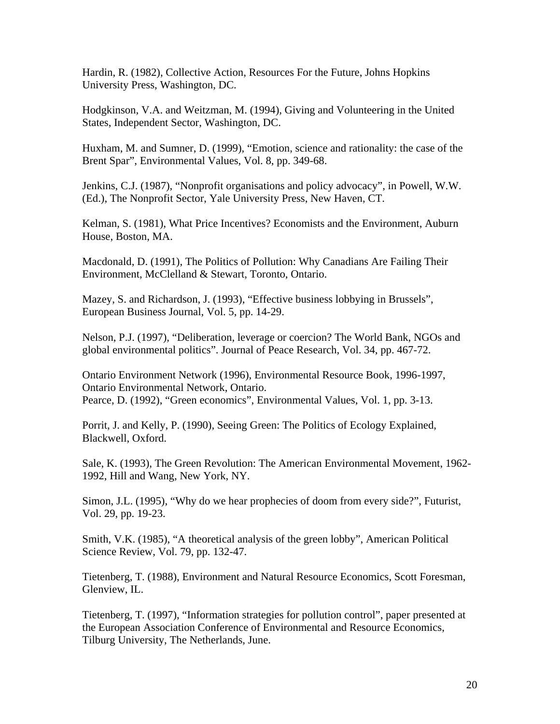Hardin, R. (1982), Collective Action, Resources For the Future, Johns Hopkins University Press, Washington, DC.

Hodgkinson, V.A. and Weitzman, M. (1994), Giving and Volunteering in the United States, Independent Sector, Washington, DC.

Huxham, M. and Sumner, D. (1999), "Emotion, science and rationality: the case of the Brent Spar", Environmental Values, Vol. 8, pp. 349-68.

Jenkins, C.J. (1987), "Nonprofit organisations and policy advocacy", in Powell, W.W. (Ed.), The Nonprofit Sector, Yale University Press, New Haven, CT.

Kelman, S. (1981), What Price Incentives? Economists and the Environment, Auburn House, Boston, MA.

Macdonald, D. (1991), The Politics of Pollution: Why Canadians Are Failing Their Environment, McClelland & Stewart, Toronto, Ontario.

Mazey, S. and Richardson, J. (1993), "Effective business lobbying in Brussels", European Business Journal, Vol. 5, pp. 14-29.

Nelson, P.J. (1997), "Deliberation, leverage or coercion? The World Bank, NGOs and global environmental politics". Journal of Peace Research, Vol. 34, pp. 467-72.

Ontario Environment Network (1996), Environmental Resource Book, 1996-1997, Ontario Environmental Network, Ontario. Pearce, D. (1992), "Green economics", Environmental Values, Vol. 1, pp. 3-13.

Porrit, J. and Kelly, P. (1990), Seeing Green: The Politics of Ecology Explained, Blackwell, Oxford.

Sale, K. (1993), The Green Revolution: The American Environmental Movement, 1962- 1992, Hill and Wang, New York, NY.

Simon, J.L. (1995), "Why do we hear prophecies of doom from every side?", Futurist, Vol. 29, pp. 19-23.

Smith, V.K. (1985), "A theoretical analysis of the green lobby", American Political Science Review, Vol. 79, pp. 132-47.

Tietenberg, T. (1988), Environment and Natural Resource Economics, Scott Foresman, Glenview, IL.

Tietenberg, T. (1997), "Information strategies for pollution control", paper presented at the European Association Conference of Environmental and Resource Economics, Tilburg University, The Netherlands, June.